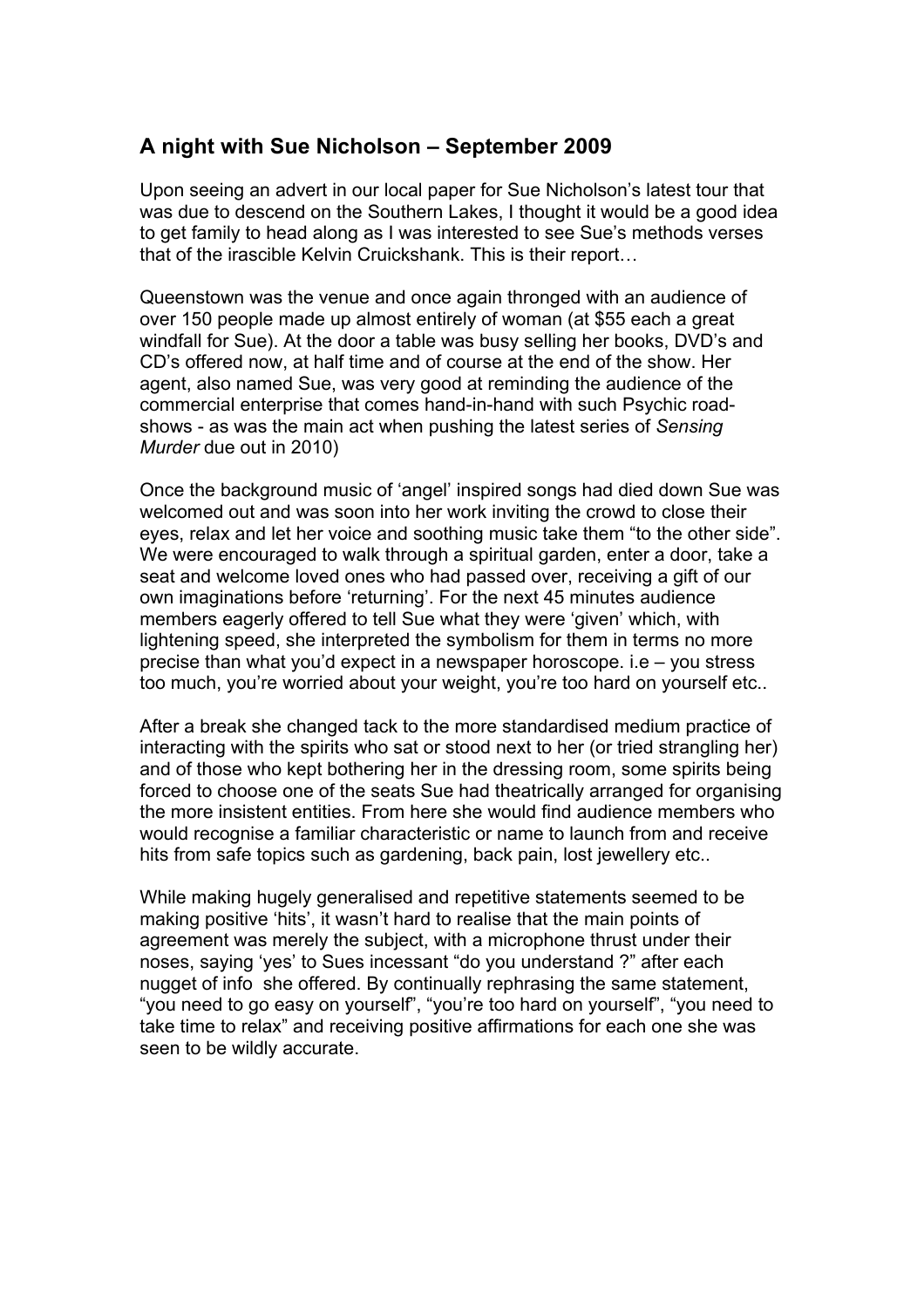## **A night with Sue Nicholson – September 2009**

Upon seeing an advert in our local paper for Sue Nicholson's latest tour that was due to descend on the Southern Lakes, I thought it would be a good idea to get family to head along as I was interested to see Sue's methods verses that of the irascible Kelvin Cruickshank. This is their report…

Queenstown was the venue and once again thronged with an audience of over 150 people made up almost entirely of woman (at \$55 each a great windfall for Sue). At the door a table was busy selling her books, DVD's and CD's offered now, at half time and of course at the end of the show. Her agent, also named Sue, was very good at reminding the audience of the commercial enterprise that comes hand-in-hand with such Psychic roadshows - as was the main act when pushing the latest series of *Sensing Murder* due out in 2010)

Once the background music of 'angel' inspired songs had died down Sue was welcomed out and was soon into her work inviting the crowd to close their eyes, relax and let her voice and soothing music take them "to the other side". We were encouraged to walk through a spiritual garden, enter a door, take a seat and welcome loved ones who had passed over, receiving a gift of our own imaginations before 'returning'. For the next 45 minutes audience members eagerly offered to tell Sue what they were 'given' which, with lightening speed, she interpreted the symbolism for them in terms no more precise than what you'd expect in a newspaper horoscope. i.e – you stress too much, you're worried about your weight, you're too hard on yourself etc..

After a break she changed tack to the more standardised medium practice of interacting with the spirits who sat or stood next to her (or tried strangling her) and of those who kept bothering her in the dressing room, some spirits being forced to choose one of the seats Sue had theatrically arranged for organising the more insistent entities. From here she would find audience members who would recognise a familiar characteristic or name to launch from and receive hits from safe topics such as gardening, back pain, lost jewellery etc..

While making hugely generalised and repetitive statements seemed to be making positive 'hits', it wasn't hard to realise that the main points of agreement was merely the subject, with a microphone thrust under their noses, saying 'yes' to Sues incessant "do you understand ?" after each nugget of info she offered. By continually rephrasing the same statement, "you need to go easy on yourself", "you're too hard on yourself", "you need to take time to relax" and receiving positive affirmations for each one she was seen to be wildly accurate.